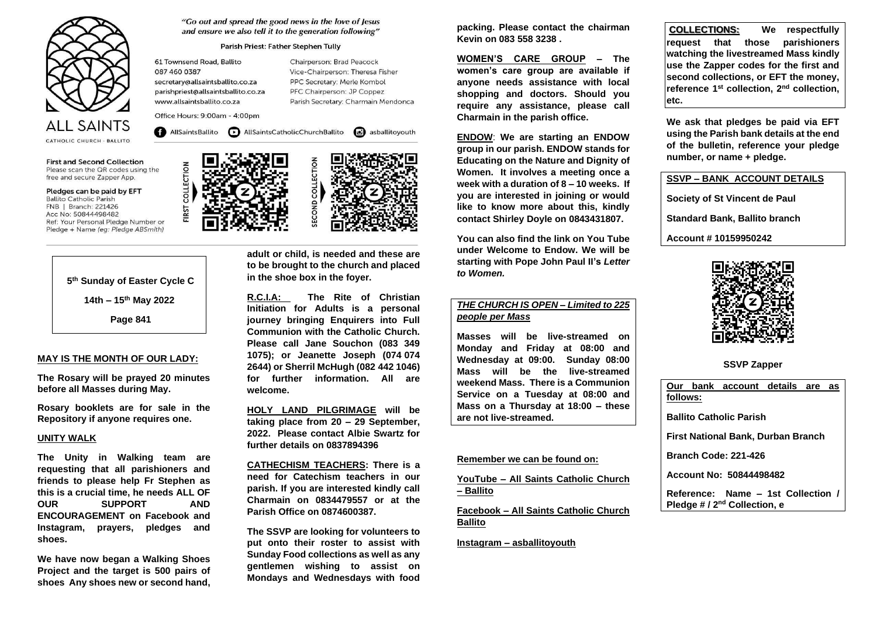

**First and Second Collection** Please scan the QR codes using the free and secure Zapper App.

Pledges can be paid by EFT **Ballito Catholic Parish** FNB | Branch: 221426 Acc No: 50844498482 Ref: Your Personal Pledge Number or Pledge + Name (eg: Pledge ABSmith)

> **5th Sunday of Easter Cycle C 14th – 15th May 2022 Page 841**

## **MAY IS THE MONTH OF OUR LADY:**

**The Rosary will be prayed 20 minutes before all Masses during May.** 

**Rosary booklets are for sale in the Repository if anyone requires one.** 

### **UNITY WALK**

**The Unity in Walking team are requesting that all parishioners and friends to please help Fr Stephen as this is a crucial time, he needs ALL OF OUR SUPPORT AND ENCOURAGEMENT on Facebook and Instagram, prayers, pledges and shoes.** 

**We have now began a Walking Shoes Project and the target is 500 pairs of shoes Any shoes new or second hand,** 

## "Go out and spread the good news in the love of Jesus and ensure we also tell it to the generation following"

## Parish Priest: Father Stephen Tully

61 Townsend Road, Ballito 087 460 0387 secretary@allsaintsballito.co.za parishpriest@allsaintsballito.co.za www.allsaintsballito.co.za

COLLECTION

FIRST

Chairperson: Brad Peacock Vice-Chairperson: Theresa Fisher PPC Secretary: Merle Kombol PFC Chairperson: JP Coppez Parish Secretary: Charmain Mendonca

Office Hours: 9:00am - 4:00pm

AllSaintsBallito **D** AllSaintsCatholicChurchBallito **G** asballitoyouth



**adult or child, is needed and these are to be brought to the church and placed in the shoe box in the foyer.** 

**R.C.I.A: The Rite of Christian Initiation for Adults is a personal journey bringing Enquirers into Full Communion with the Catholic Church. Please call Jane Souchon (083 349 1075); or Jeanette Joseph (074 074 2644) or Sherril McHugh (082 442 1046) for further information. All are welcome.** 

**HOLY LAND PILGRIMAGE will be taking place from 20 – 29 September, 2022. Please contact Albie Swartz for further details on 0837894396** 

**CATHECHISM TEACHERS: There is a need for Catechism teachers in our parish. If you are interested kindly call Charmain on 0834479557 or at the Parish Office on 0874600387.** 

**The SSVP are looking for volunteers to put onto their roster to assist with Sunday Food collections as well as any gentlemen wishing to assist on Mondays and Wednesdays with food**  **packing. Please contact the chairman Kevin on 083 558 3238 .** 

**WOMEN'S CARE GROUP – The women's care group are available if anyone needs assistance with local shopping and doctors. Should you require any assistance, please call Charmain in the parish office.** 

**ENDOW**: **We are starting an ENDOW group in our parish. ENDOW stands for Educating on the Nature and Dignity of Women. It involves a meeting once a week with a duration of 8 – 10 weeks. If you are interested in joining or would like to know more about this, kindly contact Shirley Doyle on 0843431807.** 

**You can also find the link on You Tube under Welcome to Endow. We will be starting with Pope John Paul II's Letter to Women.** 

## **THE CHURCH IS OPEN** *–* **Limited to 225 people per Mass**

**Masses will be live-streamed on Monday and Friday at 08:00 and Wednesday at 09:00. Sunday 08:00 Mass will be the live-streamed weekend Mass. There is a Communion Service on a Tuesday at 08:00 and Mass on a Thursday at 18:00 – these are not live-streamed.** 

### **Remember we can be found on:**

**YouTube – All Saints Catholic Church – Ballito** 

**Facebook – All Saints Catholic Church Ballito** 

**Instagram – asballitoyouth** 

 **COLLECTIONS: We respectfully request that those parishioners watching the livestreamed Mass kindly use the Zapper codes for the first and second collections, or EFT the money, reference 1st collection, 2nd collection, etc.** 

**We ask that pledges be paid via EFT using the Parish bank details at the end of the bulletin, reference your pledge number, or name + pledge.** 

**SSVP – BANK ACCOUNT DETAILS** 

**Society of St Vincent de Paul** 

**Standard Bank, Ballito branch** 

**Account # 10159950242** 



**SSVP Zapper** 

**Our bank account details are as follows: Ballito Catholic Parish First National Bank, Durban Branch Branch Code: 221-426 Account No: 50844498482 Reference: Name – 1st Collection / Pledge # / 2nd Collection, e**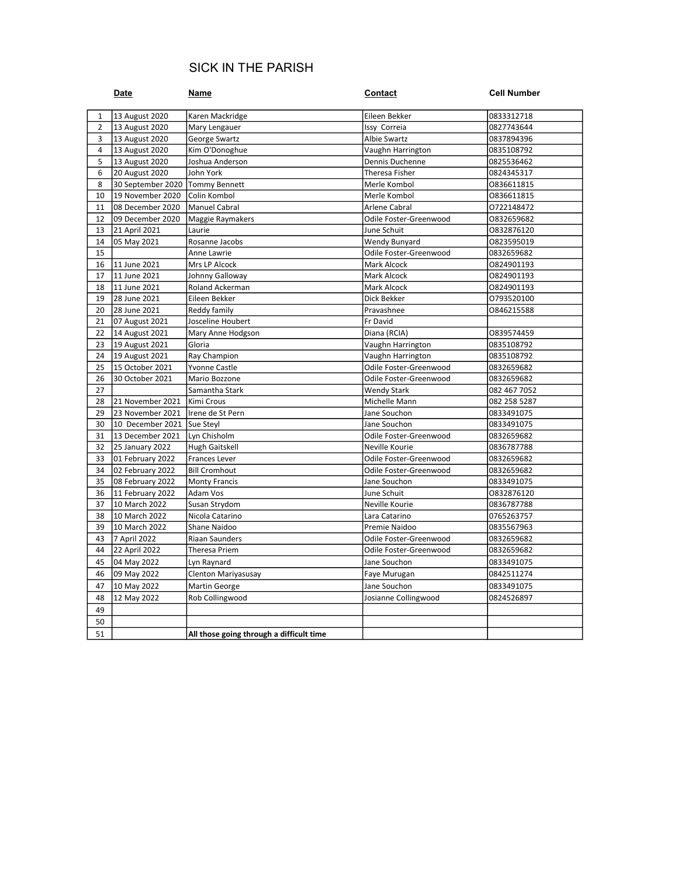# SICK IN THE PARISH

|                | Date                              | Name                                     | <b>Contact</b>                  | <b>Cell Number</b>       |
|----------------|-----------------------------------|------------------------------------------|---------------------------------|--------------------------|
| 1              | 13 August 2020                    | Karen Mackridge                          | Eileen Bekker                   | 0833312718               |
| $\overline{2}$ | 13 August 2020                    | Mary Lengauer                            | Issy Correia                    | 0827743644               |
| 3              | 13 August 2020                    | George Swartz                            | Albie Swartz                    | 0837894396               |
| $\overline{4}$ | 13 August 2020                    | Kim O'Donoghue                           | Vaughn Harrington               | 0835108792               |
| 5              | 13 August 2020                    | Joshua Anderson                          | Dennis Duchenne                 | 0825536462               |
| 6              | 20 August 2020                    | John York                                | Theresa Fisher                  | 0824345317               |
| 8              | 30 September 2020   Tommy Bennett |                                          | Merle Kombol                    | 0836611815               |
| 10             | 19 November 2020                  | Colin Kombol                             | Merle Kombol                    | 0836611815               |
| 11             | 08 December 2020                  | Manuel Cabral                            | Arlene Cabral                   | 0722148472               |
| 12             | 09 December 2020                  | Maggie Raymakers                         | Odile Foster-Greenwood          | 0832659682               |
| 13             | 21 April 2021                     | Laurie                                   | June Schuit                     | 0832876120               |
| 14             | 05 May 2021                       | Rosanne Jacobs                           | Wendy Bunyard                   | 0823595019               |
| 15             |                                   | Anne Lawrie                              | Odile Foster-Greenwood          | 0832659682               |
| 16             | 11 June 2021                      | Mrs LP Alcock                            | Mark Alcock                     | 0824901193               |
| 17             | 11 June 2021                      | Johnny Galloway                          | Mark Alcock                     | 0824901193               |
| 18             | 11 June 2021                      | Roland Ackerman                          | Mark Alcock                     | 0824901193               |
| 19             | 28 June 2021                      | Eileen Bekker                            | Dick Bekker                     | 0793520100               |
| 20             | 28 June 2021                      | Reddy family                             | Pravashnee                      | 0846215588               |
| 21             | 07 August 2021                    | Josceline Houbert                        | Fr David                        |                          |
| 22             | 14 August 2021                    | Mary Anne Hodgson                        | Diana (RCIA)                    | 0839574459               |
| 23             | 19 August 2021                    | Gloria                                   | Vaughn Harrington               | 0835108792               |
| 24             | 19 August 2021                    | Ray Champion                             | Vaughn Harrington               | 0835108792               |
| 25             | 15 October 2021                   | Yvonne Castle                            | Odile Foster-Greenwood          | 0832659682               |
| 26             | 30 October 2021                   | Mario Bozzone                            | Odile Foster-Greenwood          | 0832659682               |
| 27             |                                   | Samantha Stark                           | <b>Wendy Stark</b>              | 082 467 7052             |
| 28             | 21 November 2021                  | Kimi Crous                               | Michelle Mann                   | 082 258 5287             |
| 29             | 23 November 2021                  | Irene de St Pern                         | Jane Souchon                    | 0833491075               |
| 30             | 10 December 2021                  | Sue Steyl                                | Jane Souchon                    | 0833491075               |
| 31             | 13 December 2021                  | Lyn Chisholm                             | Odile Foster-Greenwood          | 0832659682               |
| 32             | 25 January 2022                   | Hugh Gaitskell                           | Neville Kourie                  | 0836787788               |
| 33             | 01 February 2022                  | Frances Lever                            | Odile Foster-Greenwood          | 0832659682               |
| 34             | 02 February 2022                  | <b>Bill Cromhout</b>                     | Odile Foster-Greenwood          | 0832659682               |
| 35             | 08 February 2022                  | <b>Monty Francis</b>                     | Jane Souchon                    | 0833491075               |
| 36             | 11 February 2022                  | Adam Vos                                 | June Schuit                     | 0832876120               |
| 37<br>38       | 10 March 2022<br>10 March 2022    | Susan Strydom<br>Nicola Catarino         | Neville Kourie<br>Lara Catarino | 0836787788               |
| 39             | 10 March 2022                     | Shane Naidoo                             | Premie Naidoo                   | 0765263757<br>0835567963 |
| 43             | 7 April 2022                      | Riaan Saunders                           | Odile Foster-Greenwood          | 0832659682               |
| 44             | 22 April 2022                     | Theresa Priem                            | Odile Foster-Greenwood          | 0832659682               |
|                |                                   |                                          |                                 |                          |
| 45<br>46       | 04 May 2022<br>09 May 2022        | Lyn Raynard<br>Clenton Mariyasusay       | Jane Souchon<br>Faye Murugan    | 0833491075<br>0842511274 |
| 47             |                                   |                                          | Jane Souchon                    | 0833491075               |
|                | 10 May 2022                       | Martin George                            |                                 |                          |
| 48<br>49       | 12 May 2022                       | Rob Collingwood                          | Josianne Collingwood            | 0824526897               |
|                |                                   |                                          |                                 |                          |
| 50             |                                   |                                          |                                 |                          |
| 51             |                                   | All those going through a difficult time |                                 |                          |